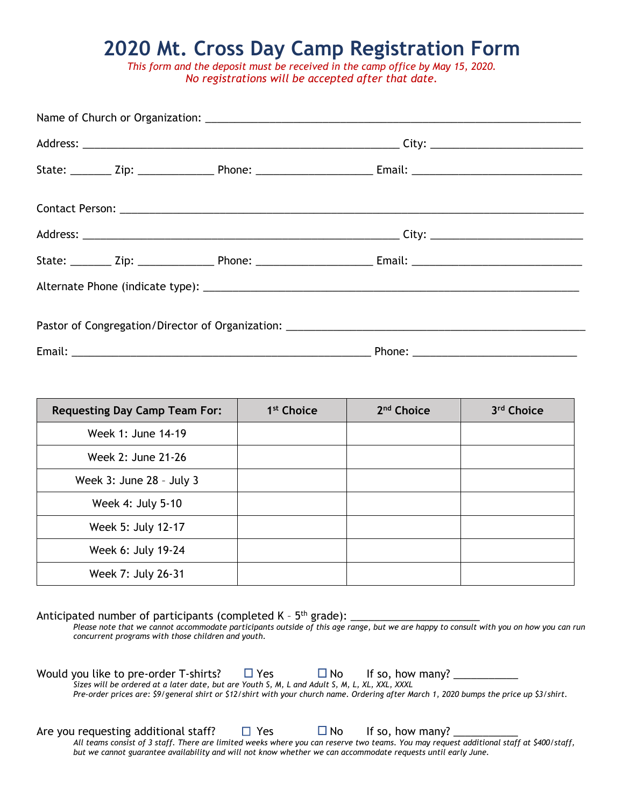## **2020 Mt. Cross Day Camp Registration Form**

*This form and the deposit must be received in the camp office by May 15, 2020. No registrations will be accepted after that date.* 

| <b>Requesting Day Camp Team For:</b> | 1 <sup>st</sup> Choice | 2 <sup>nd</sup> Choice | 3rd Choice |
|--------------------------------------|------------------------|------------------------|------------|
| Week 1: June 14-19                   |                        |                        |            |
| Week 2: June 21-26                   |                        |                        |            |
| Week 3: June 28 - July 3             |                        |                        |            |
| Week 4: July 5-10                    |                        |                        |            |
| Week 5: July 12-17                   |                        |                        |            |
| Week 6: July 19-24                   |                        |                        |            |
| Week 7: July 26-31                   |                        |                        |            |

Anticipated number of participants (completed K -  $5<sup>th</sup>$  grade):

*Please note that we cannot accommodate participants outside of this age range, but we are happy to consult with you on how you can run concurrent programs with those children and youth.* 

| Would you like to pre-order T-shirts?                                                                                                   | $\Box$ Yes | $\square$ No | If so, how many? |  |
|-----------------------------------------------------------------------------------------------------------------------------------------|------------|--------------|------------------|--|
| Sizes will be ordered at a later date, but are Youth S, M, L and Adult S, M, L, XL, XXL, XXXL                                           |            |              |                  |  |
| Pre-order prices are: \$9/general shirt or \$12/shirt with your church name. Ordering after March 1, 2020 bumps the price up \$3/shirt. |            |              |                  |  |

Are you requesting additional staff?  $\Box$  Yes  $\Box$  No If so, how many?

*All teams consist of 3 staff. There are limited weeks where you can reserve two teams. You may request additional staff at \$400/staff, but we cannot guarantee availability and will not know whether we can accommodate requests until early June.*